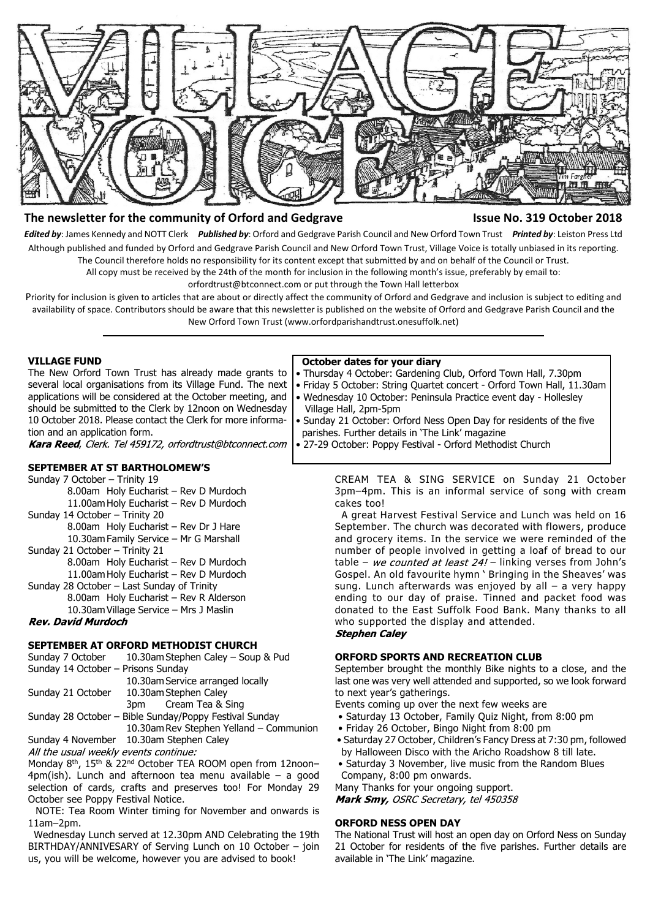

### **The newsletter for the community of Orford and Gedgrave Issue No. 319 October 2018**

*Edited by*: James Kennedy and NOTT Clerk *Published by*: Orford and Gedgrave Parish Council and New Orford Town Trust *Printed by*: Leiston Press Ltd Although published and funded by Orford and Gedgrave Parish Council and New Orford Town Trust, Village Voice is totally unbiased in its reporting. The Council therefore holds no responsibility for its content except that submitted by and on behalf of the Council or Trust.

All copy must be received by the 24th of the month for inclusion in the following month's issue, preferably by email to:

orfordtrust@btconnect.com or put through the Town Hall letterbox

Priority for inclusion is given to articles that are about or directly affect the community of Orford and Gedgrave and inclusion is subject to editing and availability of space. Contributors should be aware that this newsletter is published on the website of Orford and Gedgrave Parish Council and the New Orford Town Trust (www.orfordparishandtrust.onesuffolk.net)

#### **VILLAGE FUND**

The New Orford Town Trust has already made grants to several local organisations from its Village Fund. The next applications will be considered at the October meeting, and should be submitted to the Clerk by 12noon on Wednesday 10 October 2018. Please contact the Clerk for more information and an application form.

Kara Reed, Clerk. Tel 459172, orfordtrust@btconnect.com

# **SEPTEMBER AT ST BARTHOLOMEW'S**

- Sunday 7 October Trinity 19 8.00am Holy Eucharist – Rev D Murdoch 11.00am Holy Eucharist – Rev D Murdoch Sunday 14 October – Trinity 20 8.00am Holy Eucharist – Rev Dr J Hare 10.30am Family Service – Mr G Marshall Sunday 21 October – Trinity 21 8.00am Holy Eucharist – Rev D Murdoch
	- 11.00am Holy Eucharist Rev D Murdoch
- Sunday 28 October Last Sunday of Trinity
	- 8.00am Holy Eucharist Rev R Alderson 10.30am Village Service – Mrs J Maslin

## **Rev. David Murdoch**

# **SEPTEMBER AT ORFORD METHODIST CHURCH**

Sunday 7 October 10.30am Stephen Caley – Soup & Pud Sunday 14 October – Prisons Sunday 10.30am Service arranged locally Sunday 21 October 10.30am Stephen Caley 3pm Cream Tea & Sing Sunday 28 October – Bible Sunday/Poppy Festival Sunday

10.30am Rev Stephen Yelland – Communion Sunday 4 November 10.30am Stephen Caley

All the usual weekly events continue:

Monday 8<sup>th</sup>, 15<sup>th</sup> & 22<sup>nd</sup> October TEA ROOM open from 12noon- $4pm(ish)$ . Lunch and afternoon tea menu available – a good selection of cards, crafts and preserves too! For Monday 29 October see Poppy Festival Notice.

 NOTE: Tea Room Winter timing for November and onwards is 11am–2pm.

 Wednesday Lunch served at 12.30pm AND Celebrating the 19th BIRTHDAY/ANNIVESARY of Serving Lunch on 10 October – join us, you will be welcome, however you are advised to book!

#### **October dates for your diary**

- Thursday 4 October: Gardening Club, Orford Town Hall, 7.30pm
- Friday 5 October: String Quartet concert Orford Town Hall, 11.30am
- Wednesday 10 October: Peninsula Practice event day Hollesley
- Village Hall, 2pm-5pm • Sunday 21 October: Orford Ness Open Day for residents of the five parishes. Further details in 'The Link' magazine
- 27-29 October: Poppy Festival Orford Methodist Church

CREAM TEA & SING SERVICE on Sunday 21 October 3pm–4pm. This is an informal service of song with cream cakes too!

 A great Harvest Festival Service and Lunch was held on 16 September. The church was decorated with flowers, produce and grocery items. In the service we were reminded of the number of people involved in getting a loaf of bread to our table – we counted at least  $24!$  – linking verses from John's Gospel. An old favourite hymn ' Bringing in the Sheaves' was sung. Lunch afterwards was enjoyed by all – a very happy ending to our day of praise. Tinned and packet food was donated to the East Suffolk Food Bank. Many thanks to all who supported the display and attended. **Stephen Caley** 

#### **ORFORD SPORTS AND RECREATION CLUB**

September brought the monthly Bike nights to a close, and the last one was very well attended and supported, so we look forward to next year's gatherings.

- Events coming up over the next few weeks are
- Saturday 13 October, Family Quiz Night, from 8:00 pm
- Friday 26 October, Bingo Night from 8:00 pm
- Saturday 27 October, Children's Fancy Dress at 7:30 pm, followed by Halloween Disco with the Aricho Roadshow 8 till late.
- Saturday 3 November, live music from the Random Blues Company, 8:00 pm onwards.

Many Thanks for your ongoing support.

Mark Smy, OSRC Secretary, tel 450358

#### **ORFORD NESS OPEN DAY**

The National Trust will host an open day on Orford Ness on Sunday 21 October for residents of the five parishes. Further details are available in 'The Link' magazine.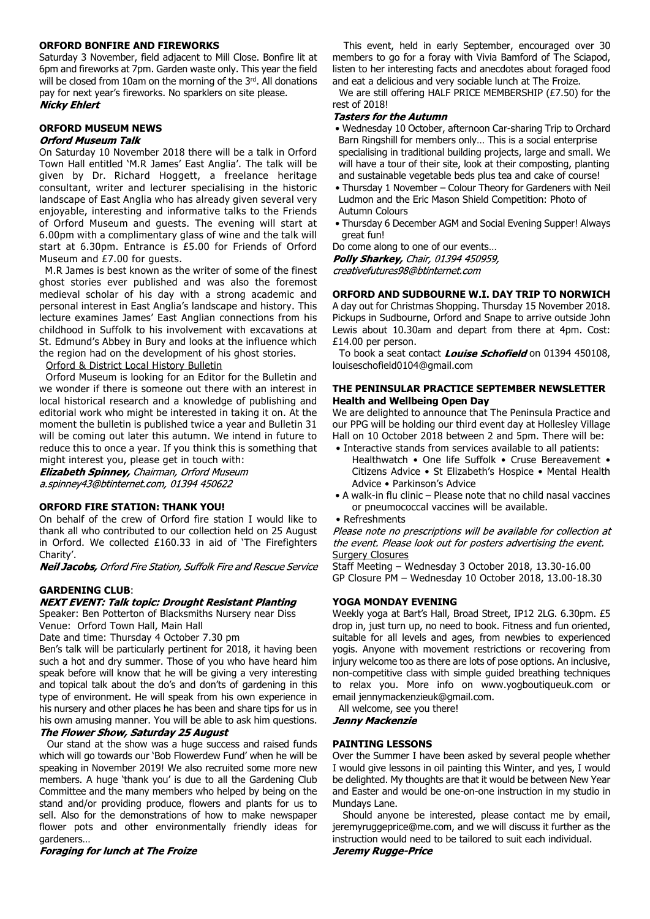#### **ORFORD BONFIRE AND FIREWORKS**

Saturday 3 November, field adjacent to Mill Close. Bonfire lit at 6pm and fireworks at 7pm. Garden waste only. This year the field will be closed from 10am on the morning of the 3rd. All donations pay for next year's fireworks. No sparklers on site please. **Nicky Ehlert** 

#### **ORFORD MUSEUM NEWS**

#### **Orford Museum Talk**

On Saturday 10 November 2018 there will be a talk in Orford Town Hall entitled 'M.R James' East Anglia'. The talk will be given by Dr. Richard Hoggett, a freelance heritage consultant, writer and lecturer specialising in the historic landscape of East Anglia who has already given several very enjoyable, interesting and informative talks to the Friends of Orford Museum and guests. The evening will start at 6.00pm with a complimentary glass of wine and the talk will start at 6.30pm. Entrance is £5.00 for Friends of Orford Museum and £7.00 for quests.

 M.R James is best known as the writer of some of the finest ghost stories ever published and was also the foremost medieval scholar of his day with a strong academic and personal interest in East Anglia's landscape and history. This lecture examines James' East Anglian connections from his childhood in Suffolk to his involvement with excavations at St. Edmund's Abbey in Bury and looks at the influence which the region had on the development of his ghost stories.

Orford & District Local History Bulletin

 Orford Museum is looking for an Editor for the Bulletin and we wonder if there is someone out there with an interest in local historical research and a knowledge of publishing and editorial work who might be interested in taking it on. At the moment the bulletin is published twice a year and Bulletin 31 will be coming out later this autumn. We intend in future to reduce this to once a year. If you think this is something that might interest you, please get in touch with:

**Elizabeth Spinney, Chairman, Orford Museum** a.spinney43@btinternet.com, 01394 450622

#### **ORFORD FIRE STATION: THANK YOU!**

On behalf of the crew of Orford fire station I would like to thank all who contributed to our collection held on 25 August in Orford. We collected £160.33 in aid of 'The Firefighters Charity'.

**Neil Jacobs, Orford Fire Station, Suffolk Fire and Rescue Service** 

#### **GARDENING CLUB**:

#### **NEXT EVENT: Talk topic: Drought Resistant Planting**

Speaker: Ben Potterton of Blacksmiths Nursery near Diss Venue: Orford Town Hall, Main Hall

Date and time: Thursday 4 October 7.30 pm

Ben's talk will be particularly pertinent for 2018, it having been such a hot and dry summer. Those of you who have heard him speak before will know that he will be giving a very interesting and topical talk about the do's and don'ts of gardening in this type of environment. He will speak from his own experience in his nursery and other places he has been and share tips for us in his own amusing manner. You will be able to ask him questions.

### The Flower Show, Saturday 25 August

 Our stand at the show was a huge success and raised funds which will go towards our 'Bob Flowerdew Fund' when he will be speaking in November 2019! We also recruited some more new members. A huge 'thank you' is due to all the Gardening Club Committee and the many members who helped by being on the stand and/or providing produce, flowers and plants for us to sell. Also for the demonstrations of how to make newspaper flower pots and other environmentally friendly ideas for gardeners…

**Foraging for lunch at The Froize** 

 This event, held in early September, encouraged over 30 members to go for a foray with Vivia Bamford of The Sciapod, listen to her interesting facts and anecdotes about foraged food and eat a delicious and very sociable lunch at The Froize.

 We are still offering HALF PRICE MEMBERSHIP (£7.50) for the rest of 2018!<br>*Tasters for the Autumn* 

- Wednesday 10 October, afternoon Car-sharing Trip to Orchard Barn Ringshill for members only… This is a social enterprise specialising in traditional building projects, large and small. We will have a tour of their site, look at their composting, planting and sustainable vegetable beds plus tea and cake of course!
- Thursday 1 November Colour Theory for Gardeners with Neil Ludmon and the Eric Mason Shield Competition: Photo of Autumn Colours
- Thursday 6 December AGM and Social Evening Supper! Always great fun!

Do come along to one of our events… Polly Sharkey, Chair, 01394 450959, creativefutures98@btinternet.com

#### **ORFORD AND SUDBOURNE W.I. DAY TRIP TO NORWICH**

A day out for Christmas Shopping. Thursday 15 November 2018. Pickups in Sudbourne, Orford and Snape to arrive outside John Lewis about 10.30am and depart from there at 4pm. Cost: £14.00 per person.

To book a seat contact *Louise Schofield* on 01394 450108, louiseschofield0104@gmail.com

#### **THE PENINSULAR PRACTICE SEPTEMBER NEWSLETTER Health and Wellbeing Open Day**

We are delighted to announce that The Peninsula Practice and our PPG will be holding our third event day at Hollesley Village Hall on 10 October 2018 between 2 and 5pm. There will be:

- Interactive stands from services available to all patients: Healthwatch • One life Suffolk • Cruse Bereavement • Citizens Advice • St Elizabeth's Hospice • Mental Health Advice • Parkinson's Advice
- A walk-in flu clinic Please note that no child nasal vaccines or pneumococcal vaccines will be available.
- Refreshments

Please note no prescriptions will be available for collection at the event. Please look out for posters advertising the event. Surgery Closures

Staff Meeting – Wednesday 3 October 2018, 13.30-16.00 GP Closure PM – Wednesday 10 October 2018, 13.00-18.30

#### **YOGA MONDAY EVENING**

Weekly yoga at Bart's Hall, Broad Street, IP12 2LG. 6.30pm. £5 drop in, just turn up, no need to book. Fitness and fun oriented, suitable for all levels and ages, from newbies to experienced yogis. Anyone with movement restrictions or recovering from injury welcome too as there are lots of pose options. An inclusive, non-competitive class with simple guided breathing techniques to relax you. More info on www.yogboutiqueuk.com or email jennymackenzieuk@gmail.com.

All welcome, see you there!

**Jenny Mackenzie** 

#### **PAINTING LESSONS**

Over the Summer I have been asked by several people whether I would give lessons in oil painting this Winter, and yes, I would be delighted. My thoughts are that it would be between New Year and Easter and would be one-on-one instruction in my studio in Mundays Lane.

 Should anyone be interested, please contact me by email, jeremyruggeprice@me.com, and we will discuss it further as the instruction would need to be tailored to suit each individual.**Jeremy Rugge-Price**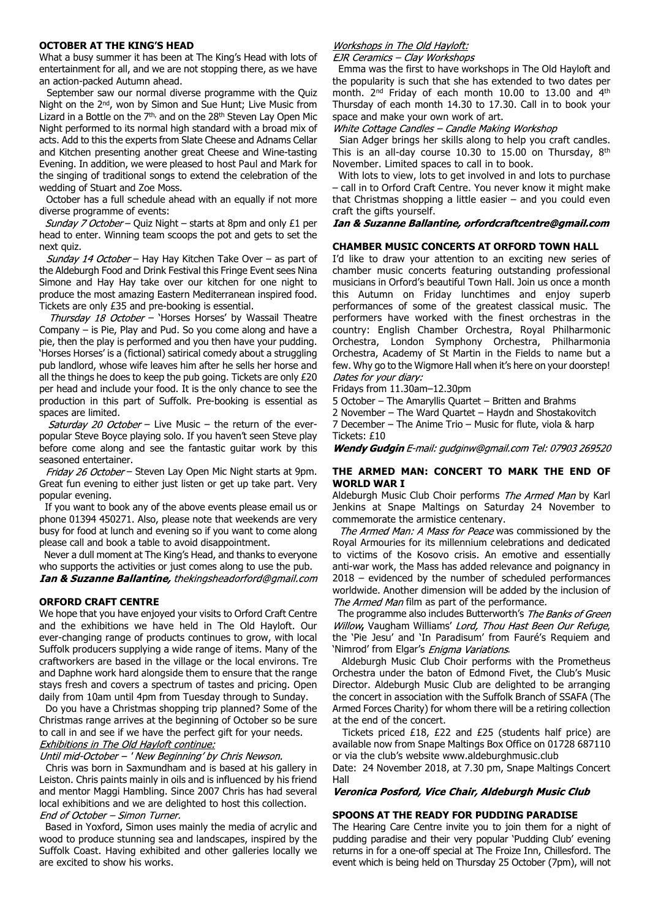#### **OCTOBER AT THE KING'S HEAD**

What a busy summer it has been at The King's Head with lots of entertainment for all, and we are not stopping there, as we have an action-packed Autumn ahead.

 September saw our normal diverse programme with the Quiz Night on the 2nd, won by Simon and Sue Hunt; Live Music from Lizard in a Bottle on the  $7<sup>th</sup>$ , and on the 28<sup>th</sup> Steven Lay Open Mic Night performed to its normal high standard with a broad mix of acts. Add to this the experts from Slate Cheese and Adnams Cellar and Kitchen presenting another great Cheese and Wine-tasting Evening. In addition, we were pleased to host Paul and Mark for the singing of traditional songs to extend the celebration of the wedding of Stuart and Zoe Moss.

 October has a full schedule ahead with an equally if not more diverse programme of events:

*Sunday 7 October* – Quiz Night – starts at 8pm and only £1 per head to enter. Winning team scoops the pot and gets to set the next quiz.

Sunday 14 October - Hay Hay Kitchen Take Over - as part of the Aldeburgh Food and Drink Festival this Fringe Event sees Nina Simone and Hay Hay take over our kitchen for one night to produce the most amazing Eastern Mediterranean inspired food. Tickets are only £35 and pre-booking is essential.

Thursday 18 October - 'Horses Horses' by Wassail Theatre Company – is Pie, Play and Pud. So you come along and have a pie, then the play is performed and you then have your pudding. 'Horses Horses' is a (fictional) satirical comedy about a struggling pub landlord, whose wife leaves him after he sells her horse and all the things he does to keep the pub going. Tickets are only £20 per head and include your food. It is the only chance to see the production in this part of Suffolk. Pre-booking is essential as spaces are limited.

Saturday 20 October - Live Music - the return of the everpopular Steve Boyce playing solo. If you haven't seen Steve play before come along and see the fantastic guitar work by this seasoned entertainer.

Friday 26 October - Steven Lay Open Mic Night starts at 9pm. Great fun evening to either just listen or get up take part. Very popular evening.

 If you want to book any of the above events please email us or phone 01394 450271. Also, please note that weekends are very busy for food at lunch and evening so if you want to come along please call and book a table to avoid disappointment.

 Never a dull moment at The King's Head, and thanks to everyone who supports the activities or just comes along to use the pub. Ian & Suzanne Ballantine, thekingsheadorford@gmail.com

#### **ORFORD CRAFT CENTRE**

We hope that you have enjoyed your visits to Orford Craft Centre and the exhibitions we have held in The Old Hayloft. Our ever-changing range of products continues to grow, with local Suffolk producers supplying a wide range of items. Many of the craftworkers are based in the village or the local environs. Tre and Daphne work hard alongside them to ensure that the range stays fresh and covers a spectrum of tastes and pricing. Open daily from 10am until 4pm from Tuesday through to Sunday.

 Do you have a Christmas shopping trip planned? Some of the Christmas range arrives at the beginning of October so be sure to call in and see if we have the perfect gift for your needs. Exhibitions in The Old Hayloft continue:

#### Until mid-October - ' New Beginning' by Chris Newson.

 Chris was born in Saxmundham and is based at his gallery in Leiston. Chris paints mainly in oils and is influenced by his friend and mentor Maggi Hambling. Since 2007 Chris has had several local exhibitions and we are delighted to host this collection. End of October - Simon Turner.

 Based in Yoxford, Simon uses mainly the media of acrylic and wood to produce stunning sea and landscapes, inspired by the Suffolk Coast. Having exhibited and other galleries locally we are excited to show his works.

#### Workshops in The Old Hayloft:

EJR Ceramics - Clav Workshops

 Emma was the first to have workshops in The Old Hayloft and the popularity is such that she has extended to two dates per month. 2nd Friday of each month 10.00 to 13.00 and 4th Thursday of each month 14.30 to 17.30. Call in to book your space and make your own work of art.

#### White Cottage Candles - Candle Making Workshop

 Sian Adger brings her skills along to help you craft candles. This is an all-day course 10.30 to 15.00 on Thursday,  $8<sup>th</sup>$ November. Limited spaces to call in to book.

 With lots to view, lots to get involved in and lots to purchase – call in to Orford Craft Centre. You never know it might make that Christmas shopping a little easier – and you could even craft the gifts yourself.

#### Ian & Suzanne Ballantine, orfordcraftcentre@gmail.com

#### **CHAMBER MUSIC CONCERTS AT ORFORD TOWN HALL**

I'd like to draw your attention to an exciting new series of chamber music concerts featuring outstanding professional musicians in Orford's beautiful Town Hall. Join us once a month this Autumn on Friday lunchtimes and enjoy superb performances of some of the greatest classical music. The performers have worked with the finest orchestras in the country: English Chamber Orchestra, Royal Philharmonic Orchestra, London Symphony Orchestra, Philharmonia Orchestra, Academy of St Martin in the Fields to name but a few. Why go to the Wigmore Hall when it's here on your doorstep! Dates for your diary:

Fridays from 11.30am–12.30pm

5 October – The Amaryllis Quartet – Britten and Brahms

2 November – The Ward Quartet – Haydn and Shostakovitch

7 December – The Anime Trio – Music for flute, viola & harp Tickets: £10

Wendy Gudgin E-mail: gudginw@gmail.com Tel: 07903 269520

#### **THE ARMED MAN: CONCERT TO MARK THE END OF WORLD WAR I**

Aldeburgh Music Club Choir performs The Armed Man by Karl Jenkins at Snape Maltings on Saturday 24 November to commemorate the armistice centenary.

The Armed Man: A Mass for Peace was commissioned by the Royal Armouries for its millennium celebrations and dedicated to victims of the Kosovo crisis. An emotive and essentially anti-war work, the Mass has added relevance and poignancy in 2018 – evidenced by the number of scheduled performances worldwide. Another dimension will be added by the inclusion of The Armed Man film as part of the performance.

The programme also includes Butterworth's The Banks of Green Willow, Vaugham Williams' Lord, Thou Hast Been Our Refuge, the 'Pie Jesu' and 'In Paradisum' from Fauré's Requiem and 'Nimrod' from Elgar's *Enigma Variations*.

 Aldeburgh Music Club Choir performs with the Prometheus Orchestra under the baton of Edmond Fivet, the Club's Music Director. Aldeburgh Music Club are delighted to be arranging the concert in association with the Suffolk Branch of SSAFA (The Armed Forces Charity) for whom there will be a retiring collection at the end of the concert.

 Tickets priced £18, £22 and £25 (students half price) are available now from Snape Maltings Box Office on 01728 687110 or via the club's website www.aldeburghmusic.club

Date: 24 November 2018, at 7.30 pm, Snape Maltings Concert Hall

Veronica Posford, Vice Chair, Aldeburgh Music Club

#### **SPOONS AT THE READY FOR PUDDING PARADISE**

The Hearing Care Centre invite you to join them for a night of pudding paradise and their very popular 'Pudding Club' evening returns in for a one-off special at The Froize Inn, Chillesford. The event which is being held on Thursday 25 October (7pm), will not